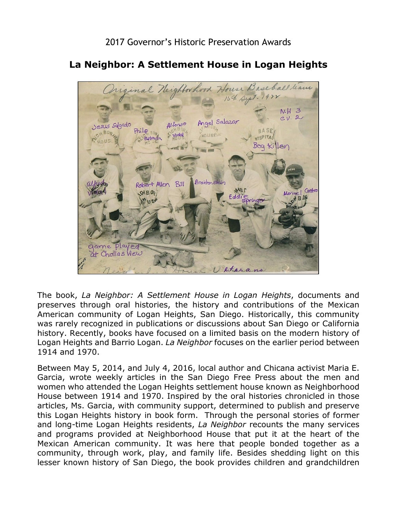

## **La Neighbor: A Settlement House in Logan Heights**

The book, *La Neighbor: A Settlement House in Logan Heights*, documents and preserves through oral histories, the history and contributions of the Mexican American community of Logan Heights, San Diego. Historically, this community was rarely recognized in publications or discussions about San Diego or California history. Recently, books have focused on a limited basis on the modern history of Logan Heights and Barrio Logan. *La Neighbor* focuses on the earlier period between 1914 and 1970.

 Between May 5, 2014, and July 4, 2016, local author and Chicana activist Maria E. Garcia, wrote weekly articles in the San Diego Free Press about the men and women who attended the Logan Heights settlement house known as Neighborhood this Logan Heights history in book form. Through the personal stories of former House between 1914 and 1970. Inspired by the oral histories chronicled in those articles, Ms. Garcia, with community support, determined to publish and preserve and long-time Logan Heights residents, *La Neighbor* recounts the many services and programs provided at Neighborhood House that put it at the heart of the Mexican American community. It was here that people bonded together as a community, through work, play, and family life. Besides shedding light on this lesser known history of San Diego, the book provides children and grandchildren